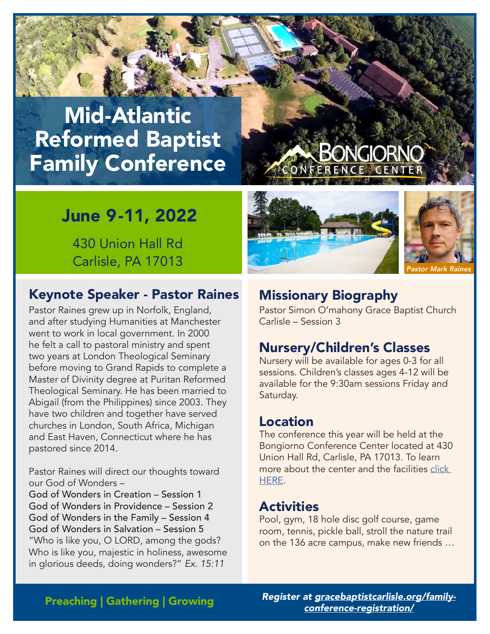# Mid-Atlantic Reformed Baptist Family Conference

## June 9-11, 2022

430 Union Hall Rd Carlisle, PA 17013

#### Keynote Speaker - Pastor Raines Missionary Biography

Pastor Raines grew up in Norfolk, England, and after studying Humanities at Manchester went to work in local government. In 2000 he felt a call to pastoral ministry and spent two years at London Theological Seminary before moving to Grand Rapids to complete a Master of Divinity degree at Puritan Reformed Theological Seminary. He has been married to Abigail (from the Philippines) since 2003. They have two children and together have served churches in London, South Africa, Michigan and East Haven, Connecticut where he has pastored since 2014.

Pastor Raines will direct our thoughts toward our God of Wonders –

God of Wonders in Creation – Session 1 God of Wonders in Providence – Session 2 God of Wonders in the Family – Session 4 God of Wonders in Salvation – Session 5 "Who is like you, O LORD, among the gods? Who is like you, majestic in holiness, awesome in glorious deeds, doing wonders?" *Ex. 15:11*



Pastor Simon O'mahony Grace Baptist Church Carlisle – Session 3

#### Nursery/Children's Classes

Nursery will be available for ages 0-3 for all sessions. Children's classes ages 4-12 will be available for the 9:30am sessions Friday and Saturday.

#### Location

The conference this year will be held at the Bongiorno Conference Center located at 430 Union Hall Rd, Carlisle, PA 17013. To learn more about the center and the facilities [click](http://bongiornocc.com/campus-maps/)  [HERE](http://bongiornocc.com/campus-maps/).

#### **Activities**

Pool, gym, 18 hole disc golf course, game room, tennis, pickle ball, stroll the nature trail on the 136 acre campus, make new friends …

Preaching | Gathering | Growing

*Register at [gracebaptistcarlisle.org/family](https://gracebaptistcarlisle.org/family-conference-registration/)[conference-registration/](https://gracebaptistcarlisle.org/family-conference-registration/)*